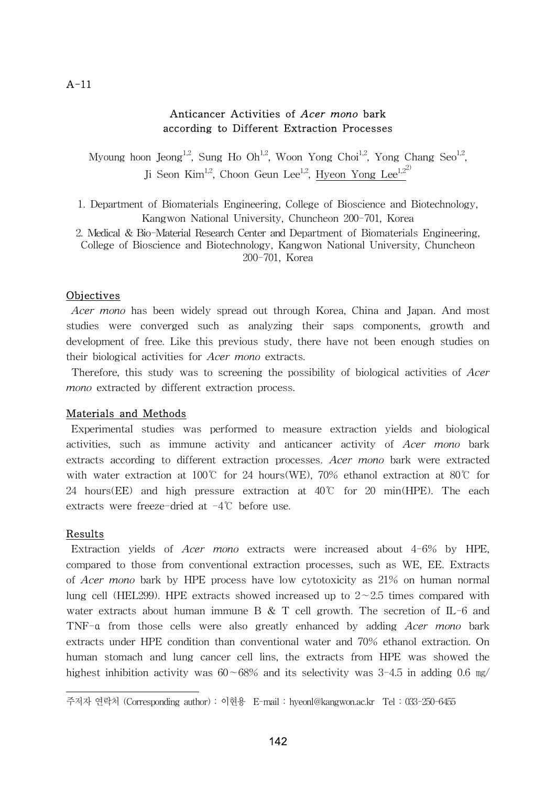## A-11

# Anticancer Activities of Acer mono bark according to Different Extraction Processes

Myoung hoon Jeong<sup>1,2</sup>, Sung Ho Oh<sup>1,2</sup>, Woon Yong Choi<sup>1,2</sup>, Yong Chang Seo<sup>1,2</sup>, Ji Seon Kim<sup>1,2</sup>, Choon Geun Lee<sup>1,2</sup>, Hyeon Yong Lee<sup>1,22)</sup>

- 1. Department of Biomaterials Engineering, College of Bioscience and Biotechnology, Kangwon National University, Chuncheon 200-701, Korea
- 2. Medical & Bio-Material Research Center and Department of Biomaterials Engineering, College of Bioscience and Biotechnology, Kangwon National University, Chuncheon 200-701, Korea

### **Objectives**

Acer mono has been widely spread out through Korea, China and Japan. And most studies were converged such as analyzing their saps components, growth and development of free. Like this previous study, there have not been enough studies on their biological activities for Acer mono extracts.

 Therefore, this study was to screening the possibility of biological activities of Acer mono extracted by different extraction process.

### Materials and Methods

 Experimental studies was performed to measure extraction yields and biological activities, such as immune activity and anticancer activity of Acer mono bark extracts according to different extraction processes. Acer mono bark were extracted with water extraction at 100℃ for 24 hours(WE), 70% ethanol extraction at 80℃ for 24 hours(EE) and high pressure extraction at  $40^{\circ}$  for 20 min(HPE). The each extracts were freeze-dried at -4℃ before use.

### Results

 Extraction yields of Acer mono extracts were increased about 4-6% by HPE, compared to those from conventional extraction processes, such as WE, EE. Extracts of Acer mono bark by HPE process have low cytotoxicity as 21% on human normal lung cell (HEL299). HPE extracts showed increased up to 2∼2.5 times compared with water extracts about human immune B & T cell growth. The secretion of IL-6 and TNF-α from those cells were also greatly enhanced by adding Acer mono bark extracts under HPE condition than conventional water and 70% ethanol extraction. On human stomach and lung cancer cell lins, the extracts from HPE was showed the highest inhibition activity was 60∼68% and its selectivity was 3-4.5 in adding 0.6 ㎎/

주저자 연락처 (Corresponding author) : 이현용 E-mail : hyeonl@kangwon.ac.kr Tel : 033-250-6455